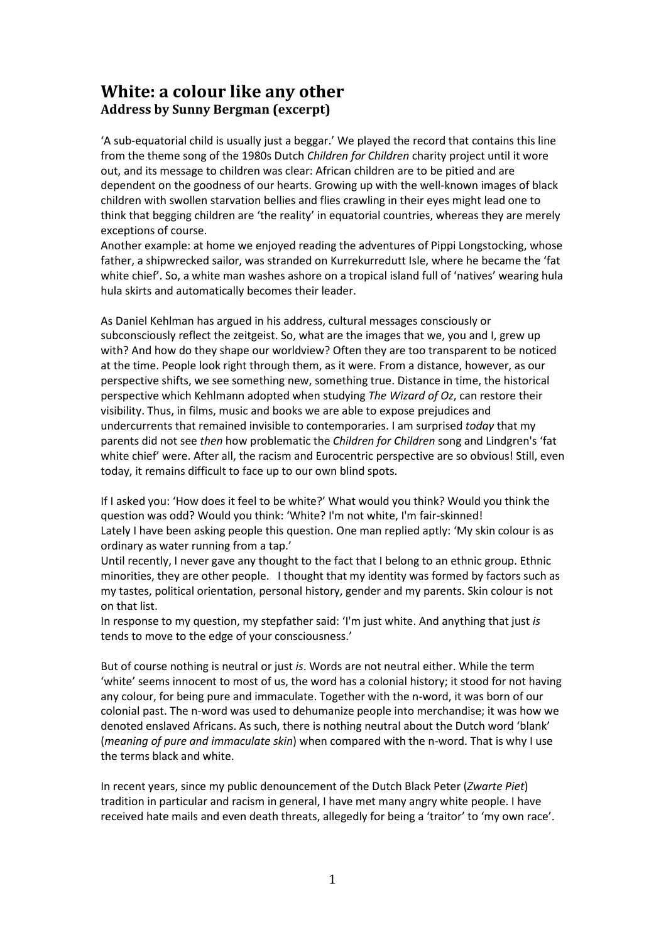## **White: a colour like any other Address by Sunny Bergman (excerpt)**

'A sub-equatorial child is usually just a beggar.' We played the record that contains this line from the theme song of the 1980s Dutch *Children for Children* charity project until it wore out, and its message to children was clear: African children are to be pitied and are dependent on the goodness of our hearts. Growing up with the well-known images of black children with swollen starvation bellies and flies crawling in their eyes might lead one to think that begging children are 'the reality' in equatorial countries, whereas they are merely exceptions of course.

Another example: at home we enjoyed reading the adventures of Pippi Longstocking, whose father, a shipwrecked sailor, was stranded on Kurrekurredutt Isle, where he became the 'fat white chief'. So, a white man washes ashore on a tropical island full of 'natives' wearing hula hula skirts and automatically becomes their leader.

As Daniel Kehlman has argued in his address, cultural messages consciously or subconsciously reflect the zeitgeist. So, what are the images that we, you and I, grew up with? And how do they shape our worldview? Often they are too transparent to be noticed at the time. People look right through them, as it were. From a distance, however, as our perspective shifts, we see something new, something true. Distance in time, the historical perspective which Kehlmann adopted when studying *The Wizard of Oz*, can restore their visibility. Thus, in films, music and books we are able to expose prejudices and undercurrents that remained invisible to contemporaries. I am surprised *today* that my parents did not see *then* how problematic the *Children for Children* song and Lindgren's 'fat white chief' were. After all, the racism and Eurocentric perspective are so obvious! Still, even today, it remains difficult to face up to our own blind spots.

If I asked you: 'How does it feel to be white?' What would you think? Would you think the question was odd? Would you think: 'White? I'm not white, I'm fair-skinned! Lately I have been asking people this question. One man replied aptly: 'My skin colour is as ordinary as water running from a tap.'

Until recently, I never gave any thought to the fact that I belong to an ethnic group. Ethnic minorities, they are other people. I thought that my identity was formed by factors such as my tastes, political orientation, personal history, gender and my parents. Skin colour is not on that list.

In response to my question, my stepfather said: 'I'm just white. And anything that just *is* tends to move to the edge of your consciousness.'

But of course nothing is neutral or just *is*. Words are not neutral either. While the term 'white' seems innocent to most of us, the word has a colonial history; it stood for not having any colour, for being pure and immaculate. Together with the n-word, it was born of our colonial past. The n-word was used to dehumanize people into merchandise; it was how we denoted enslaved Africans. As such, there is nothing neutral about the Dutch word 'blank' (*meaning of pure and immaculate skin*) when compared with the n-word. That is why I use the terms black and white.

In recent years, since my public denouncement of the Dutch Black Peter (*Zwarte Piet*) tradition in particular and racism in general, I have met many angry white people. I have received hate mails and even death threats, allegedly for being a 'traitor' to 'my own race'.